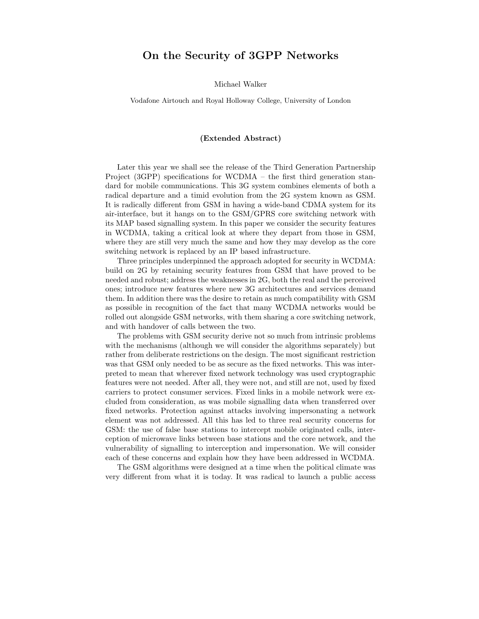## On the Security of 3GPP Networks

Michael Walker

Vodafone Airtouch and Royal Holloway College, University of London

## (Extended Abstract)

Later this year we shall see the release of the Third Generation Partnership Project (3GPP) specifications for WCDMA – the first third generation standard for mobile communications. This 3G system combines elements of both a radical departure and a timid evolution from the 2G system known as GSM. It is radically different from GSM in having a wide-band CDMA system for its air-interface, but it hangs on to the GSM/GPRS core switching network with its MAP based signalling system. In this paper we consider the security features in WCDMA, taking a critical look at where they depart from those in GSM, where they are still very much the same and how they may develop as the core switching network is replaced by an IP based infrastructure.

Three principles underpinned the approach adopted for security in WCDMA: build on 2G by retaining security features from GSM that have proved to be needed and robust; address the weaknesses in 2G, both the real and the perceived ones; introduce new features where new 3G architectures and services demand them. In addition there was the desire to retain as much compatibility with GSM as possible in recognition of the fact that many WCDMA networks would be rolled out alongside GSM networks, with them sharing a core switching network, and with handover of calls between the two.

The problems with GSM security derive not so much from intrinsic problems with the mechanisms (although we will consider the algorithms separately) but rather from deliberate restrictions on the design. The most significant restriction was that GSM only needed to be as secure as the fixed networks. This was interpreted to mean that wherever fixed network technology was used cryptographic features were not needed. After all, they were not, and still are not, used by fixed carriers to protect consumer services. Fixed links in a mobile network were excluded from consideration, as was mobile signalling data when transferred over fixed networks. Protection against attacks involving impersonating a network element was not addressed. All this has led to three real security concerns for GSM: the use of false base stations to intercept mobile originated calls, interception of microwave links between base stations and the core network, and the vulnerability of signalling to interception and impersonation. We will consider each of these concerns and explain how they have been addressed in WCDMA.

The GSM algorithms were designed at a time when the political climate was very different from what it is today. It was radical to launch a public access